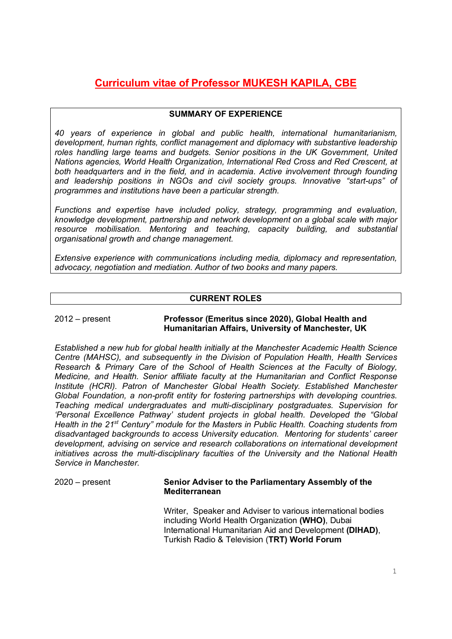# **Curriculum vitae of Professor MUKESH KAPILA, CBE**

# **SUMMARY OF EXPERIENCE**

*40 years of experience in global and public health, international humanitarianism, development, human rights, conflict management and diplomacy with substantive leadership roles handling large teams and budgets. Senior positions in the UK Government, United Nations agencies, World Health Organization, International Red Cross and Red Crescent, at both headquarters and in the field, and in academia. Active involvement through founding and leadership positions in NGOs and civil society groups. Innovative "start-ups" of programmes and institutions have been a particular strength.* 

*Functions and expertise have included policy, strategy, programming and evaluation, knowledge development, partnership and network development on a global scale with major resource mobilisation. Mentoring and teaching, capacity building, and substantial organisational growth and change management.*

*Extensive experience with communications including media, diplomacy and representation, advocacy, negotiation and mediation. Author of two books and many papers.*

# **CURRENT ROLES**

#### 2012 – present **Professor (Emeritus since 2020), Global Health and Humanitarian Affairs, University of Manchester, UK**

*Established a new hub for global health initially at the Manchester Academic Health Science Centre (MAHSC), and subsequently in the Division of Population Health, Health Services Research & Primary Care of the School of Health Sciences at the Faculty of Biology, Medicine, and Health. Senior affiliate faculty at the Humanitarian and Conflict Response Institute (HCRI). Patron of Manchester Global Health Society. Established Manchester Global Foundation, a non-profit entity for fostering partnerships with developing countries. Teaching medical undergraduates and multi-disciplinary postgraduates. Supervision for 'Personal Excellence Pathway' student projects in global health. Developed the "Global Health in the 21st Century" module for the Masters in Public Health. Coaching students from disadvantaged backgrounds to access University education. Mentoring for students' career development, advising on service and research collaborations on international development initiatives across the multi-disciplinary faculties of the University and the National Health Service in Manchester.* 

2020 – present **Senior Adviser to the Parliamentary Assembly of the Mediterranean**

> Writer, Speaker and Adviser to various international bodies including World Health Organization **(WHO)**, Dubai International Humanitarian Aid and Development **(DIHAD)**, Turkish Radio & Television (**TRT) World Forum**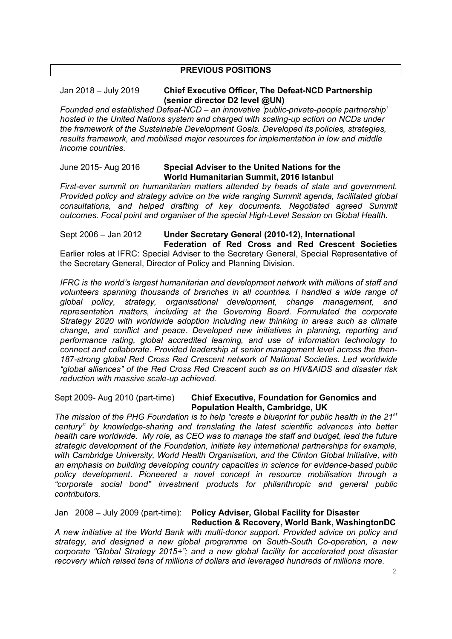### **PREVIOUS POSITIONS**

## Jan 2018 – July 2019 **Chief Executive Officer, The Defeat-NCD Partnership (senior director D2 level @UN)**

*Founded and established Defeat-NCD – an innovative 'public-private-people partnership' hosted in the United Nations system and charged with scaling-up action on NCDs under the framework of the Sustainable Development Goals. Developed its policies, strategies, results framework, and mobilised major resources for implementation in low and middle income countries.*

#### June 2015- Aug 2016 **Special Adviser to the United Nations for the World Humanitarian Summit, 2016 Istanbul**

*First-ever summit on humanitarian matters attended by heads of state and government. Provided policy and strategy advice on the wide ranging Summit agenda, facilitated global consultations, and helped drafting of key documents. Negotiated agreed Summit outcomes. Focal point and organiser of the special High-Level Session on Global Health.* 

Sept 2006 – Jan 2012 **Under Secretary General (2010-12), International Federation of Red Cross and Red Crescent Societies**

Earlier roles at IFRC: Special Adviser to the Secretary General, Special Representative of the Secretary General, Director of Policy and Planning Division.

*IFRC is the world's largest humanitarian and development network with millions of staff and volunteers spanning thousands of branches in all countries. I handled a wide range of global policy, strategy, organisational development, change management, and representation matters, including at the Governing Board. Formulated the corporate Strategy 2020 with worldwide adoption including new thinking in areas such as climate change, and conflict and peace. Developed new initiatives in planning, reporting and performance rating, global accredited learning, and use of information technology to connect and collaborate. Provided leadership at senior management level across the then-187-strong global Red Cross Red Crescent network of National Societies. Led worldwide "global alliances" of the Red Cross Red Crescent such as on HIV&AIDS and disaster risk reduction with massive scale-up achieved.* 

#### Sept 2009- Aug 2010 (part-time) **Chief Executive, Foundation for Genomics and Population Health, Cambridge, UK**

*The mission of the PHG Foundation is to help "create a blueprint for public health in the 21st century" by knowledge-sharing and translating the latest scientific advances into better health care worldwide. My role, as CEO was to manage the staff and budget, lead the future strategic development of the Foundation, initiate key international partnerships for example, with Cambridge University, World Health Organisation, and the Clinton Global Initiative, with an emphasis on building developing country capacities in science for evidence-based public policy development. Pioneered a novel concept in resource mobilisation through a "corporate social bond" investment products for philanthropic and general public contributors.* 

# Jan 2008 – July 2009 (part-time): **Policy Adviser, Global Facility for Disaster Reduction & Recovery, World Bank, WashingtonDC**

*A new initiative at the World Bank with multi-donor support. Provided advice on policy and strategy, and designed a new global programme on South-South Co-operation, a new corporate "Global Strategy 2015+"; and a new global facility for accelerated post disaster recovery which raised tens of millions of dollars and leveraged hundreds of millions more.*

2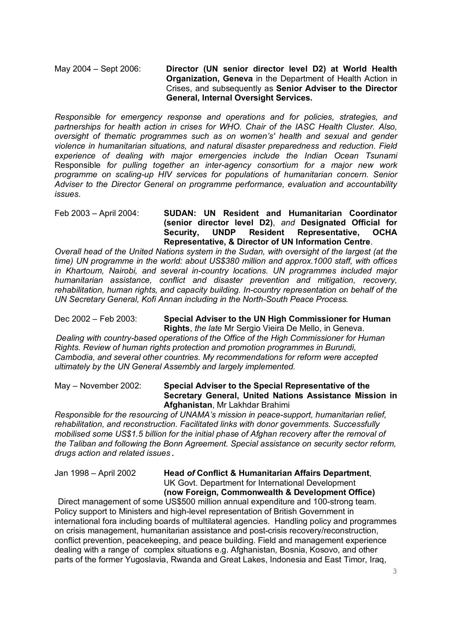May 2004 – Sept 2006: **Director (UN senior director level D2) at World Health Organization, Geneva** in the Department of Health Action in Crises, and subsequently as **Senior Adviser to the Director General, Internal Oversight Services.** 

*Responsible for emergency response and operations and for policies, strategies, and partnerships for health action in crises for WHO. Chair of the IASC Health Cluster. Also, oversight of thematic programmes such as on women's' health and sexual and gender violence in humanitarian situations, and natural disaster preparedness and reduction. Field experience of dealing with major emergencies include the Indian Ocean Tsunami*  Responsible *for pulling together an inter-agency consortium for a major new work programme on scaling-up HIV services for populations of humanitarian concern*. *Senior Adviser to the Director General on programme performance, evaluation and accountability issues*.

Feb 2003 – April 2004: **SUDAN: UN Resident and Humanitarian Coordinator (senior director level D2)**, *and* **Designated Official for Security, UNDP Resident Representative, OCHA Representative, & Director of UN Information Centre**.

*Overall head of the United Nations system in the Sudan, with oversight of the largest (at the time) UN programme in the world: about US\$380 million and approx.1000 staff, with offices in Khartoum, Nairobi, and several in-country locations. UN programmes included major humanitarian assistance, conflict and disaster prevention and mitigation, recovery, rehabilitation, human rights, and capacity building. In-country representation on behalf of the UN Secretary General, Kofi Annan including in the North-South Peace Process.* 

Dec 2002 – Feb 2003: **Special Adviser to the UN High Commissioner for Human Rights**, *the late* Mr Sergio Vieira De Mello, in Geneva.

 *Dealing with country-based operations of the Office of the High Commissioner for Human Rights. Review of human rights protection and promotion programmes in Burundi, Cambodia, and several other countries. My recommendations for reform were accepted ultimately by the UN General Assembly and largely implemented.* 

#### May – November 2002: **Special Adviser to the Special Representative of the Secretary General, United Nations Assistance Mission in Afghanistan**, Mr Lakhdar Brahimi

*Responsible for the resourcing of UNAMA's mission in peace-support, humanitarian relief, rehabilitation, and reconstruction. Facilitated links with donor governments. Successfully mobilised some US\$1.5 billion for the initial phase of Afghan recovery after the removal of the Taliban and following the Bonn Agreement. Special assistance on security sector reform, drugs action and related issues.* 

#### Jan 1998 – April 2002 **Head** *of* **Conflict & Humanitarian Affairs Department**, UK Govt. Department for International Development **(now Foreign, Commonwealth & Development Office)**

Direct management of some US\$500 million annual expenditure and 100-strong team. Policy support to Ministers and high-level representation of British Government in international fora including boards of multilateral agencies. Handling policy and programmes on crisis management, humanitarian assistance and post-crisis recovery/reconstruction, conflict prevention, peacekeeping, and peace building. Field and management experience dealing with a range of complex situations e.g. Afghanistan, Bosnia, Kosovo, and other parts of the former Yugoslavia, Rwanda and Great Lakes, Indonesia and East Timor, Iraq,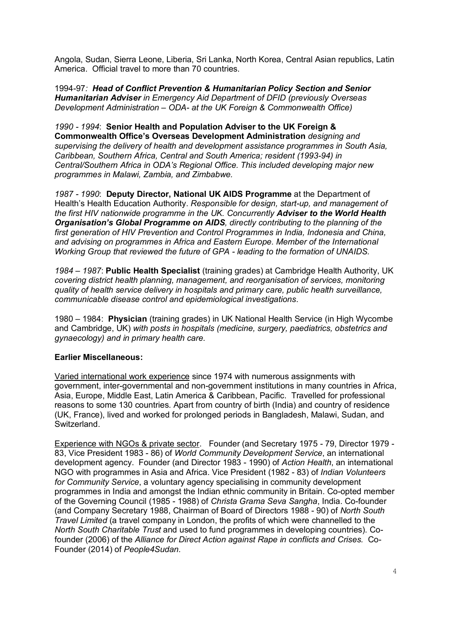Angola, Sudan, Sierra Leone, Liberia, Sri Lanka, North Korea, Central Asian republics, Latin America. Official travel to more than 70 countries.

1994-97*: Head of Conflict Prevention & Humanitarian Policy Section and Senior Humanitarian Adviser in Emergency Aid Department of DFID (previously Overseas Development Administration – ODA- at the UK Foreign & Commonwealth Office)*

*1990 - 1994*: **Senior Health and Population Adviser to the UK Foreign & Commonwealth Office's Overseas Development Administration** *designing and supervising the delivery of health and development assistance programmes in South Asia, Caribbean, Southern Africa, Central and South America; resident (1993-94) in Central/Southern Africa in ODA's Regional Office. This included developing major new programmes in Malawi, Zambia, and Zimbabwe.* 

*1987 - 1990*: **Deputy Director, National UK AIDS Programme** at the Department of Health's Health Education Authority. *Responsible for design, start-up, and management of the first HIV nationwide programme in the UK. Concurrently Adviser to the World Health Organisation's Global Programme on AIDS, directly contributing to the planning of the first generation of HIV Prevention and Control Programmes in India, Indonesia and China, and advising on programmes in Africa and Eastern Europe. Member of the International Working Group that reviewed the future of GPA - leading to the formation of UNAIDS.* 

*1984 – 1987*: **Public Health Specialist** (training grades) at Cambridge Health Authority, UK *covering district health planning, management, and reorganisation of services, monitoring quality of health service delivery in hospitals and primary care, public health surveillance, communicable disease control and epidemiological investigations*.

1980 – 1984: **Physician** (training grades) in UK National Health Service (in High Wycombe and Cambridge, UK) *with posts in hospitals (medicine, surgery, paediatrics, obstetrics and gynaecology) and in primary health care.*

# **Earlier Miscellaneous:**

Varied international work experience since 1974 with numerous assignments with government, inter-governmental and non-government institutions in many countries in Africa, Asia, Europe, Middle East, Latin America & Caribbean, Pacific. Travelled for professional reasons to some 130 countries. Apart from country of birth (India) and country of residence (UK, France), lived and worked for prolonged periods in Bangladesh, Malawi, Sudan, and Switzerland.

Experience with NGOs & private sector. Founder (and Secretary 1975 - 79, Director 1979 - 83, Vice President 1983 - 86) of *World Community Development Service*, an international development agency. Founder (and Director 1983 - 1990) of *Action Health*, an international NGO with programmes in Asia and Africa. Vice President (1982 - 83) of *Indian Volunteers for Community Service*, a voluntary agency specialising in community development programmes in India and amongst the Indian ethnic community in Britain. Co-opted member of the Governing Council (1985 - 1988) of *Christa Grama Seva Sangha*, India. Co-founder (and Company Secretary 1988, Chairman of Board of Directors 1988 - 90) of *North South Travel Limited* (a travel company in London, the profits of which were channelled to the *North South Charitable Trust* and used to fund programmes in developing countries). Cofounder (2006) of the *Alliance for Direct Action against Rape in conflicts and Crises.* Co-Founder (2014) of *People4Sudan.*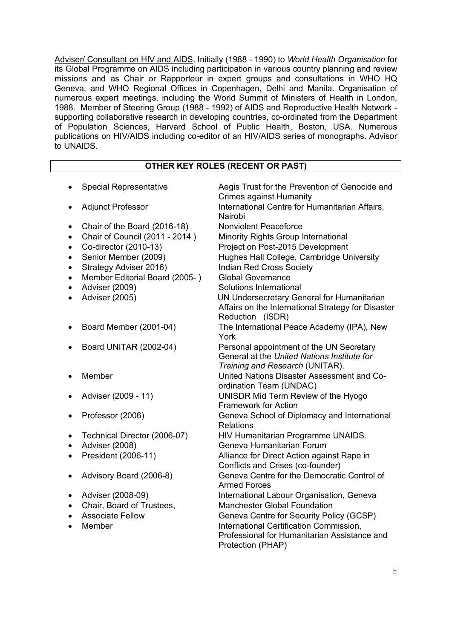Adviser/ Consultant on HIV and AIDS. Initially (1988 - 1990) to *World Health Organisation* for its Global Programme on AIDS including participation in various country planning and review missions and as Chair or Rapporteur in expert groups and consultations in WHO HQ Geneva, and WHO Regional Offices in Copenhagen, Delhi and Manila. Organisation of numerous expert meetings, including the World Summit of Ministers of Health in London, 1988. Member of Steering Group (1988 - 1992) of AIDS and Reproductive Health Network supporting collaborative research in developing countries, co-ordinated from the Department of Population Sciences, Harvard School of Public Health, Boston, USA. Numerous publications on HIV/AIDS including co-editor of an HIV/AIDS series of monographs. Advisor to UNAIDS.

# **OTHER KEY ROLES (RECENT OR PAST)**

|                                       | <b>Special Representative</b>                                                                                                                                                                                          | Aegis Trust for the Prevention of Genocide and<br><b>Crimes against Humanity</b>                                                                                                                                                                                                                                                                   |
|---------------------------------------|------------------------------------------------------------------------------------------------------------------------------------------------------------------------------------------------------------------------|----------------------------------------------------------------------------------------------------------------------------------------------------------------------------------------------------------------------------------------------------------------------------------------------------------------------------------------------------|
|                                       | <b>Adjunct Professor</b>                                                                                                                                                                                               | International Centre for Humanitarian Affairs,<br>Nairobi                                                                                                                                                                                                                                                                                          |
| ٠<br>٠<br>٠<br>$\bullet$<br>$\bullet$ | Chair of the Board (2016-18)<br>Chair of Council (2011 - 2014)<br>Co-director (2010-13)<br>Senior Member (2009)<br>Strategy Adviser 2016)<br>Member Editorial Board (2005-)<br><b>Adviser (2009)</b><br>Adviser (2005) | <b>Nonviolent Peaceforce</b><br>Minority Rights Group International<br>Project on Post-2015 Development<br>Hughes Hall College, Cambridge University<br><b>Indian Red Cross Society</b><br><b>Global Governance</b><br>Solutions International<br>UN Undersecretary General for Humanitarian<br>Affairs on the International Strategy for Disaster |
|                                       | Board Member (2001-04)                                                                                                                                                                                                 | Reduction (ISDR)<br>The International Peace Academy (IPA), New<br>York                                                                                                                                                                                                                                                                             |
|                                       | Board UNITAR (2002-04)                                                                                                                                                                                                 | Personal appointment of the UN Secretary<br>General at the United Nations Institute for<br>Training and Research (UNITAR).                                                                                                                                                                                                                         |
|                                       | Member                                                                                                                                                                                                                 | United Nations Disaster Assessment and Co-<br>ordination Team (UNDAC)                                                                                                                                                                                                                                                                              |
|                                       | Adviser (2009 - 11)                                                                                                                                                                                                    | UNISDR Mid Term Review of the Hyogo<br><b>Framework for Action</b>                                                                                                                                                                                                                                                                                 |
|                                       | Professor (2006)                                                                                                                                                                                                       | Geneva School of Diplomacy and International<br><b>Relations</b>                                                                                                                                                                                                                                                                                   |
|                                       | Technical Director (2006-07)<br>Adviser (2008)<br>President (2006-11)                                                                                                                                                  | HIV Humanitarian Programme UNAIDS.<br>Geneva Humanitarian Forum<br>Alliance for Direct Action against Rape in<br>Conflicts and Crises (co-founder)                                                                                                                                                                                                 |
|                                       | Advisory Board (2006-8)                                                                                                                                                                                                | Geneva Centre for the Democratic Control of<br><b>Armed Forces</b>                                                                                                                                                                                                                                                                                 |
|                                       | Adviser (2008-09)<br>Chair, Board of Trustees,<br><b>Associate Fellow</b><br>Member                                                                                                                                    | International Labour Organisation, Geneva<br><b>Manchester Global Foundation</b><br>Geneva Centre for Security Policy (GCSP)<br>International Certification Commission,<br>Professional for Humanitarian Assistance and<br>Protection (PHAP)                                                                                                       |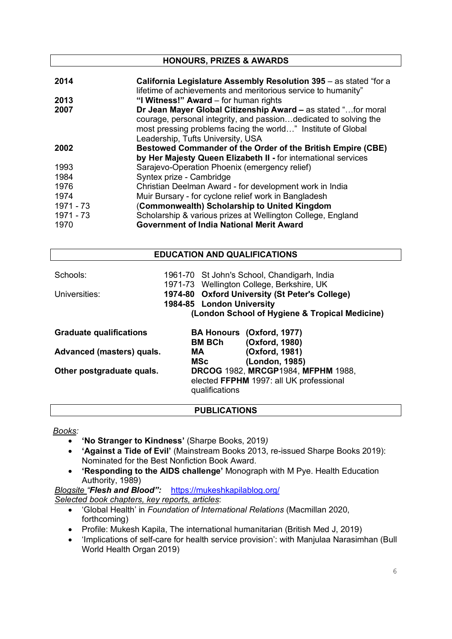| <b>HONOURS, PRIZES &amp; AWARDS</b> |                                                                                                                                                                                                                                        |  |
|-------------------------------------|----------------------------------------------------------------------------------------------------------------------------------------------------------------------------------------------------------------------------------------|--|
| 2014                                | California Legislature Assembly Resolution 395 - as stated "for a<br>lifetime of achievements and meritorious service to humanity"                                                                                                     |  |
| 2013                                | "I Witness!" Award – for human rights                                                                                                                                                                                                  |  |
| 2007                                | Dr Jean Mayer Global Citizenship Award - as stated "for moral<br>courage, personal integrity, and passiondedicated to solving the<br>most pressing problems facing the world" Institute of Global<br>Leadership, Tufts University, USA |  |
| 2002                                | <b>Bestowed Commander of the Order of the British Empire (CBE)</b><br>by Her Majesty Queen Elizabeth II - for international services                                                                                                   |  |
| 1993                                | Sarajevo-Operation Phoenix (emergency relief)                                                                                                                                                                                          |  |
| 1984                                | Syntex prize - Cambridge                                                                                                                                                                                                               |  |
| 1976                                | Christian Deelman Award - for development work in India                                                                                                                                                                                |  |
| 1974                                | Muir Bursary - for cyclone relief work in Bangladesh                                                                                                                                                                                   |  |
| 1971 - 73                           | (Commonwealth) Scholarship to United Kingdom                                                                                                                                                                                           |  |
| 1971 - 73                           | Scholarship & various prizes at Wellington College, England                                                                                                                                                                            |  |
| 1970                                | <b>Government of India National Merit Award</b>                                                                                                                                                                                        |  |

# **EDUCATION AND QUALIFICATIONS** Schools: 1961-70 St John's School, Chandigarh, India 1971-73 Wellington College, Berkshire, UK Universities: **1974-80 Oxford University (St Peter's College) 1984-85 London University (London School of Hygiene & Tropical Medicine) Graduate qualifications BA Honours (Oxford, 1977) BM BCh (Oxford, 1980) Advanced (masters) quals. MA (Oxford, 1981) MSc (London, 1985) Other postgraduate quals. DRCOG** 1982, **MRCGP**1984, **MFPHM** 1988, elected **FFPHM** 1997: all UK professional qualifications

# **PUBLICATIONS**

*Books:* 

- **'No Stranger to Kindness'** (Sharpe Books, 2019*)*
- **'Against a Tide of Evil'** (Mainstream Books 2013, re-issued Sharpe Books 2019): Nominated for the Best Nonfiction Book Award.
- **'Responding to the AIDS challenge'** Monograph with M Pye. Health Education Authority, 1989)

*Blogsite "Flesh and Blood":* https://mukeshkapilablog.org/ *Selected book chapters, key reports, articles*:

- 'Global Health' in *Foundation of International Relations* (Macmillan 2020, forthcoming)
- Profile: Mukesh Kapila, The international humanitarian (British Med J, 2019)
- 'Implications of self-care for health service provision': with Manjulaa Narasimhan (Bull World Health Organ 2019)